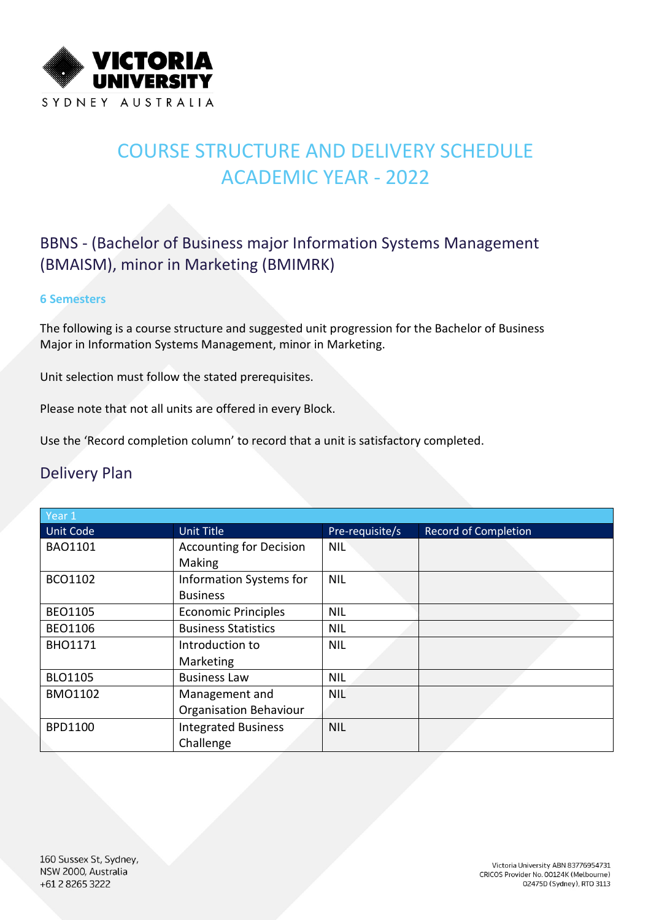

# COURSE STRUCTURE AND DELIVERY SCHEDULE ACADEMIC YEAR - 2022

### BBNS - (Bachelor of Business major Information Systems Management (BMAISM), minor in Marketing (BMIMRK)

#### **6 Semesters**

The following is a course structure and suggested unit progression for the Bachelor of Business Major in Information Systems Management, minor in Marketing.

Unit selection must follow the stated prerequisites.

Please note that not all units are offered in every Block.

Use the 'Record completion column' to record that a unit is satisfactory completed.

### Delivery Plan

| Year $1$       |                                |                 |                             |  |  |
|----------------|--------------------------------|-----------------|-----------------------------|--|--|
| Unit Code      | <b>Unit Title</b>              | Pre-requisite/s | <b>Record of Completion</b> |  |  |
| <b>BAO1101</b> | <b>Accounting for Decision</b> | <b>NIL</b>      |                             |  |  |
|                | Making                         |                 |                             |  |  |
| BCO1102        | Information Systems for        | <b>NIL</b>      |                             |  |  |
|                | <b>Business</b>                |                 |                             |  |  |
| <b>BEO1105</b> | <b>Economic Principles</b>     | <b>NIL</b>      |                             |  |  |
| <b>BEO1106</b> | <b>Business Statistics</b>     | <b>NIL</b>      |                             |  |  |
| <b>BHO1171</b> | Introduction to                | <b>NIL</b>      |                             |  |  |
|                | Marketing                      |                 |                             |  |  |
| BLO1105        | <b>Business Law</b>            | <b>NIL</b>      |                             |  |  |
| <b>BMO1102</b> | Management and                 | <b>NIL</b>      |                             |  |  |
|                | <b>Organisation Behaviour</b>  |                 |                             |  |  |
| <b>BPD1100</b> | <b>Integrated Business</b>     | <b>NIL</b>      |                             |  |  |
|                | Challenge                      |                 |                             |  |  |